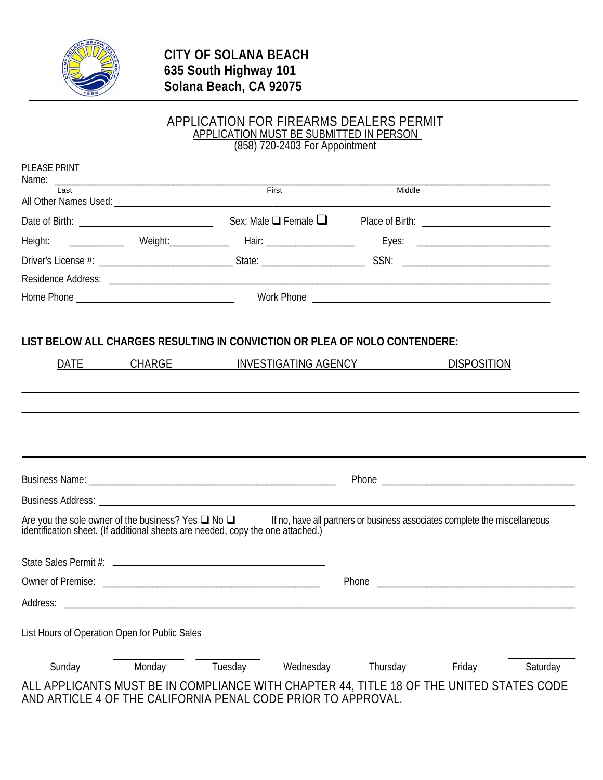

### APPLICATION FOR FIREARMS DEALERS PERMIT APPLICATION MUST BE SUBMITTED IN PERSON (858) 720-2403 For Appointment

| Last                                                                |        | <b>First</b>                                                                    | Middle                                                                                                                                  |          |
|---------------------------------------------------------------------|--------|---------------------------------------------------------------------------------|-----------------------------------------------------------------------------------------------------------------------------------------|----------|
|                                                                     |        |                                                                                 |                                                                                                                                         |          |
|                                                                     |        |                                                                                 |                                                                                                                                         |          |
|                                                                     |        |                                                                                 | Height: ______________ Weight: ___________ Hair: _________________ Eyes: __________________________                                     |          |
|                                                                     |        |                                                                                 |                                                                                                                                         |          |
|                                                                     |        |                                                                                 |                                                                                                                                         |          |
|                                                                     |        |                                                                                 |                                                                                                                                         |          |
| DATE                                                                | CHARGE | INVESTIGATING AGENCY                                                            | <b>DISPOSITION</b>                                                                                                                      |          |
|                                                                     |        |                                                                                 |                                                                                                                                         |          |
|                                                                     |        |                                                                                 |                                                                                                                                         |          |
|                                                                     |        |                                                                                 |                                                                                                                                         |          |
|                                                                     |        |                                                                                 |                                                                                                                                         |          |
|                                                                     |        |                                                                                 |                                                                                                                                         |          |
|                                                                     |        | identification sheet. (If additional sheets are needed, copy the one attached.) | Are you the sole owner of the business? Yes $\Box$ No $\Box$ If no, have all partners or business associates complete the miscellaneous |          |
|                                                                     |        |                                                                                 |                                                                                                                                         |          |
|                                                                     |        |                                                                                 |                                                                                                                                         |          |
|                                                                     |        |                                                                                 |                                                                                                                                         |          |
|                                                                     |        |                                                                                 |                                                                                                                                         |          |
| Address:<br>List Hours of Operation Open for Public Sales<br>Sunday | Monday | Tuesday<br>Wednesday                                                            | Thursday<br>Friday                                                                                                                      | Saturday |

AND ARTICLE 4 OF THE CALIFORNIA PENAL CODE PRIOR TO APPROVAL.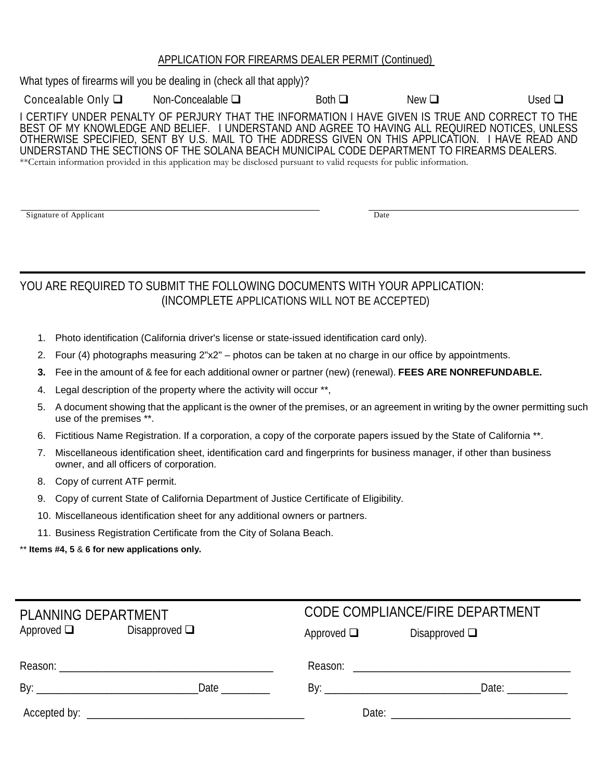## APPLICATION FOR FIREARMS DEALER PERMIT (Continued)

What types of firearms will you be dealing in (check all that apply)? Concealable Only  $\square$  Non-Concealable  $\square$  Both  $\square$  New  $\square$  Used  $\square$ I CERTIFY UNDER PENALTY OF PERJURY THAT THE INFORMATION I HAVE GIVEN IS TRUE AND CORRECT TO THE BEST OF MY KNOWLEDGE AND BELIEF. I UNDERSTAND AND AGREE TO HAVING ALL REQUIRED NOTICES, UNLESS OTHERWISE SPECIFIED, SENT BY U.S. MAIL TO THE ADDRESS GIVEN ON THIS APPLICATION. I HAVE READ AND UNDERSTAND THE SECTIONS OF THE SOLANA BEACH MUNICIPAL CODE DEPARTMENT TO FIREARMS DEALERS. \*\*Certain information provided in this application may be disclosed pursuant to valid requests for public information.

Signature of Applicant Date of Applicant Date of Applicant Date of Applicant Date of Applicant Date of Applicant Date of Applicant Date of Applicant Date of Applicant Date of Applicant Date of Applicant Date of Applicant D

# YOU ARE REQUIRED TO SUBMIT THE FOLLOWING DOCUMENTS WITH YOUR APPLICATION: (INCOMPLETE APPLICATIONS WILL NOT BE ACCEPTED)

- 1. Photo identification (California driver's license or state-issued identification card only).
- 2. Four (4) photographs measuring 2"x2" photos can be taken at no charge in our office by appointments.
- **3.** Fee in the amount of & fee for each additional owner or partner (new) (renewal). **FEES ARE NONREFUNDABLE.**
- 4. Legal description of the property where the activity will occur \*\*,
- 5. A document showing that the applicant is the owner of the premises, or an agreement in writing by the owner permitting such use of the premises \*\*.
- 6. Fictitious Name Registration. If a corporation, a copy of the corporate papers issued by the State of California \*\*.
- 7. Miscellaneous identification sheet, identification card and fingerprints for business manager, if other than business owner, and all officers of corporation.
- 8. Copy of current ATF permit.
- 9. Copy of current State of California Department of Justice Certificate of Eligibility.
- 10. Miscellaneous identification sheet for any additional owners or partners.
- 11. Business Registration Certificate from the City of Solana Beach.

## \*\* **Items #4, 5** & **6 for new applications only.**

| PLANNING DEPARTMENT |                    |                 | CODE COMPLIANCE/FIRE DEPARTMENT                                                                                                                |
|---------------------|--------------------|-----------------|------------------------------------------------------------------------------------------------------------------------------------------------|
| Approved $\Box$     | Disapproved $\Box$ | Approved $\Box$ | Disapproved $\Box$                                                                                                                             |
|                     |                    |                 |                                                                                                                                                |
|                     | Date $\_\_$        |                 | Date: and the state of the state of the state of the state of the state of the state of the state of the state<br>By: $\overline{\phantom{a}}$ |
|                     |                    |                 |                                                                                                                                                |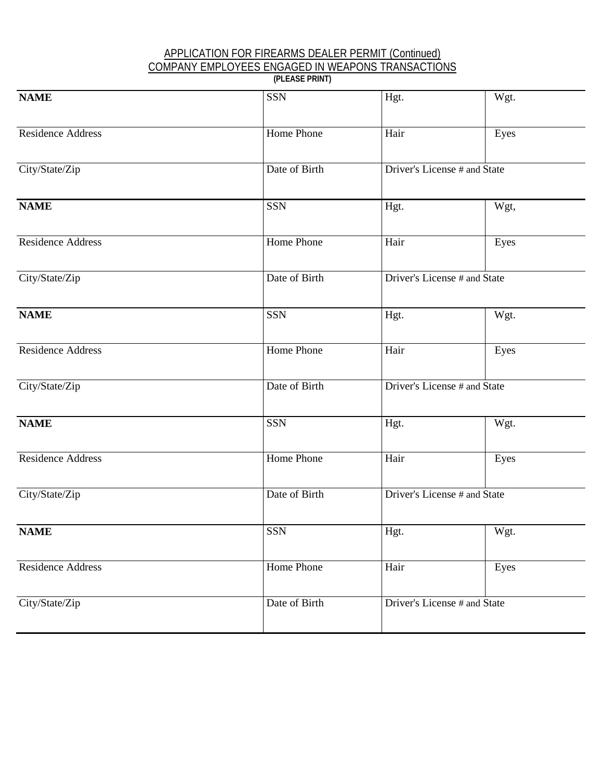#### APPLICATION FOR FIREARMS DEALER PERMIT (Continued) COMPANY EMPLOYEES ENGAGED IN WEAPONS TRANSACTIONS **(PLEASE PRINT)**

| <b>NAME</b>              | <b>SSN</b>    | Hgt.                         | Wgt. |
|--------------------------|---------------|------------------------------|------|
| <b>Residence Address</b> | Home Phone    | Hair                         | Eyes |
| City/State/Zip           | Date of Birth | Driver's License # and State |      |
| <b>NAME</b>              | <b>SSN</b>    | Hgt.                         | Wgt, |
| Residence Address        | Home Phone    | Hair                         | Eyes |
| City/State/Zip           | Date of Birth | Driver's License # and State |      |
| <b>NAME</b>              | <b>SSN</b>    | Hgt.                         | Wgt. |
| <b>Residence Address</b> | Home Phone    | Hair                         | Eyes |
| City/State/Zip           | Date of Birth | Driver's License # and State |      |
| <b>NAME</b>              | <b>SSN</b>    | Hgt.                         | Wgt. |
| <b>Residence Address</b> | Home Phone    | Hair                         | Eyes |
| City/State/Zip           | Date of Birth | Driver's License # and State |      |
| <b>NAME</b>              | SSN           | Hgt.                         | Wgt. |
| Residence Address        | Home Phone    | Hair                         | Eyes |
| City/State/Zip           | Date of Birth | Driver's License # and State |      |
|                          |               |                              |      |